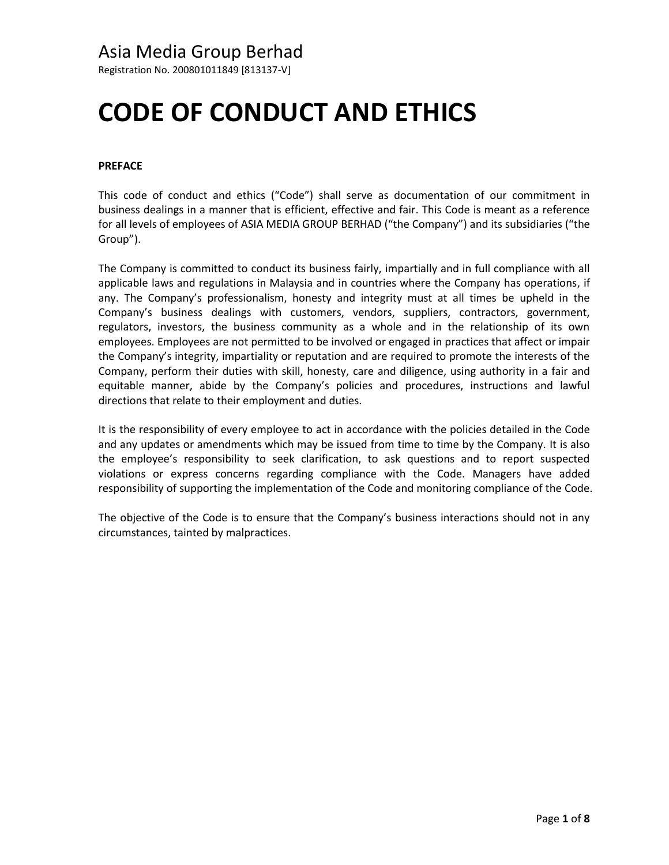Registration No. 200801011849 [813137-V]

# **CODE OF CONDUCT AND ETHICS**

#### **PREFACE**

This code of conduct and ethics ("Code") shall serve as documentation of our commitment in business dealings in a manner that is efficient, effective and fair. This Code is meant as a reference for all levels of employees of ASIA MEDIA GROUP BERHAD ("the Company") and its subsidiaries ("the Group").

The Company is committed to conduct its business fairly, impartially and in full compliance with all applicable laws and regulations in Malaysia and in countries where the Company has operations, if any. The Company's professionalism, honesty and integrity must at all times be upheld in the Company's business dealings with customers, vendors, suppliers, contractors, government, regulators, investors, the business community as a whole and in the relationship of its own employees. Employees are not permitted to be involved or engaged in practices that affect or impair the Company's integrity, impartiality or reputation and are required to promote the interests of the Company, perform their duties with skill, honesty, care and diligence, using authority in a fair and equitable manner, abide by the Company's policies and procedures, instructions and lawful directions that relate to their employment and duties.

It is the responsibility of every employee to act in accordance with the policies detailed in the Code and any updates or amendments which may be issued from time to time by the Company. It is also the employee's responsibility to seek clarification, to ask questions and to report suspected violations or express concerns regarding compliance with the Code. Managers have added responsibility of supporting the implementation of the Code and monitoring compliance of the Code.

The objective of the Code is to ensure that the Company's business interactions should not in any circumstances, tainted by malpractices.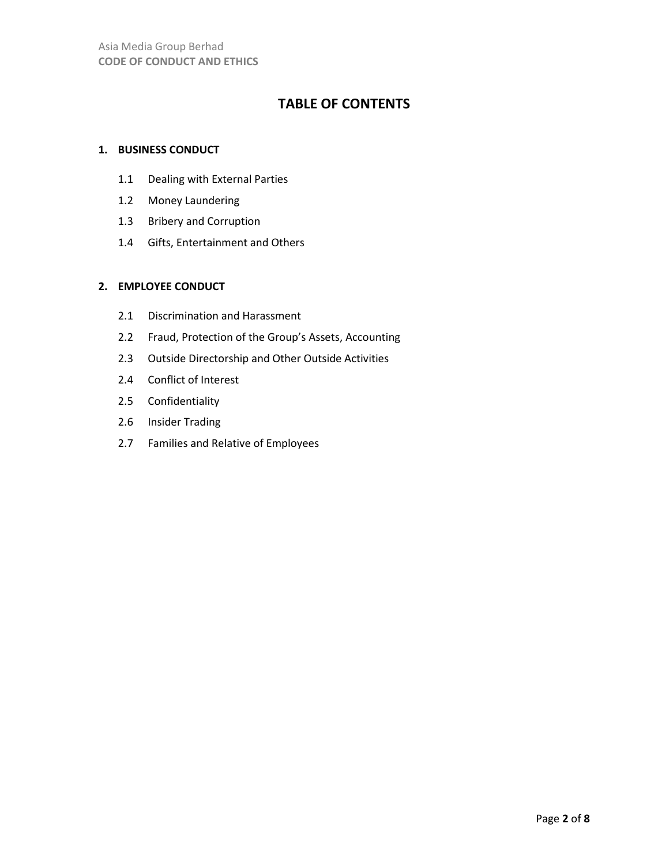# **TABLE OF CONTENTS**

### **1. BUSINESS CONDUCT**

- 1.1 Dealing with External Parties
- 1.2 Money Laundering
- 1.3 Bribery and Corruption
- 1.4 Gifts, Entertainment and Others

#### **2. EMPLOYEE CONDUCT**

- 2.1 Discrimination and Harassment
- 2.2 Fraud, Protection of the Group's Assets, Accounting
- 2.3 Outside Directorship and Other Outside Activities
- 2.4 Conflict of Interest
- 2.5 Confidentiality
- 2.6 Insider Trading
- 2.7 Families and Relative of Employees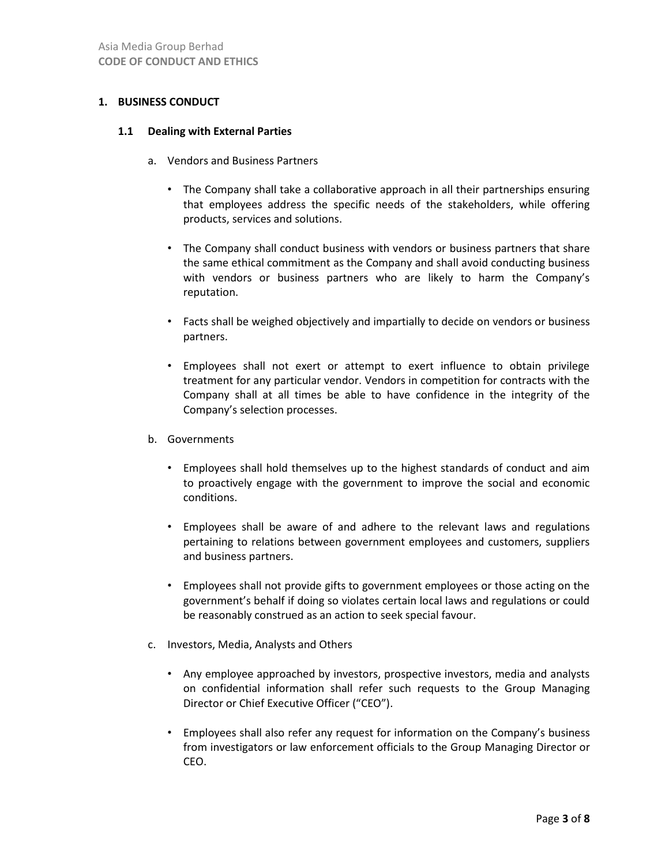#### **1. BUSINESS CONDUCT**

#### **1.1 Dealing with External Parties**

- a. Vendors and Business Partners
	- The Company shall take a collaborative approach in all their partnerships ensuring that employees address the specific needs of the stakeholders, while offering products, services and solutions.
	- The Company shall conduct business with vendors or business partners that share the same ethical commitment as the Company and shall avoid conducting business with vendors or business partners who are likely to harm the Company's reputation.
	- Facts shall be weighed objectively and impartially to decide on vendors or business partners.
	- Employees shall not exert or attempt to exert influence to obtain privilege treatment for any particular vendor. Vendors in competition for contracts with the Company shall at all times be able to have confidence in the integrity of the Company's selection processes.
- b. Governments
	- Employees shall hold themselves up to the highest standards of conduct and aim to proactively engage with the government to improve the social and economic conditions.
	- Employees shall be aware of and adhere to the relevant laws and regulations pertaining to relations between government employees and customers, suppliers and business partners.
	- Employees shall not provide gifts to government employees or those acting on the government's behalf if doing so violates certain local laws and regulations or could be reasonably construed as an action to seek special favour.
- c. Investors, Media, Analysts and Others
	- Any employee approached by investors, prospective investors, media and analysts on confidential information shall refer such requests to the Group Managing Director or Chief Executive Officer ("CEO").
	- Employees shall also refer any request for information on the Company's business from investigators or law enforcement officials to the Group Managing Director or CEO.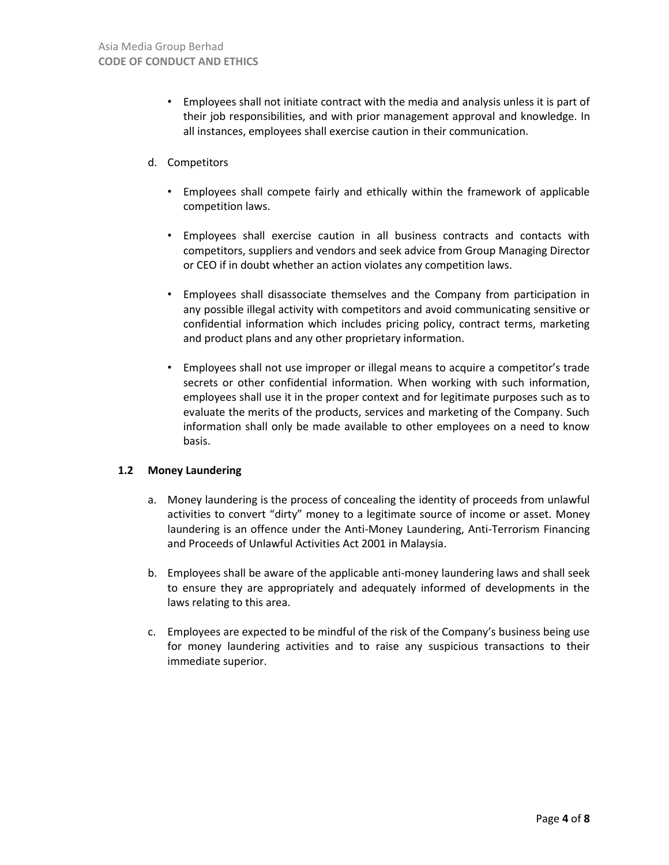- Employees shall not initiate contract with the media and analysis unless it is part of their job responsibilities, and with prior management approval and knowledge. In all instances, employees shall exercise caution in their communication.
- d. Competitors
	- Employees shall compete fairly and ethically within the framework of applicable competition laws.
	- Employees shall exercise caution in all business contracts and contacts with competitors, suppliers and vendors and seek advice from Group Managing Director or CEO if in doubt whether an action violates any competition laws.
	- Employees shall disassociate themselves and the Company from participation in any possible illegal activity with competitors and avoid communicating sensitive or confidential information which includes pricing policy, contract terms, marketing and product plans and any other proprietary information.
	- Employees shall not use improper or illegal means to acquire a competitor's trade secrets or other confidential information. When working with such information, employees shall use it in the proper context and for legitimate purposes such as to evaluate the merits of the products, services and marketing of the Company. Such information shall only be made available to other employees on a need to know basis.

### **1.2 Money Laundering**

- a. Money laundering is the process of concealing the identity of proceeds from unlawful activities to convert "dirty" money to a legitimate source of income or asset. Money laundering is an offence under the Anti-Money Laundering, Anti-Terrorism Financing and Proceeds of Unlawful Activities Act 2001 in Malaysia.
- b. Employees shall be aware of the applicable anti-money laundering laws and shall seek to ensure they are appropriately and adequately informed of developments in the laws relating to this area.
- c. Employees are expected to be mindful of the risk of the Company's business being use for money laundering activities and to raise any suspicious transactions to their immediate superior.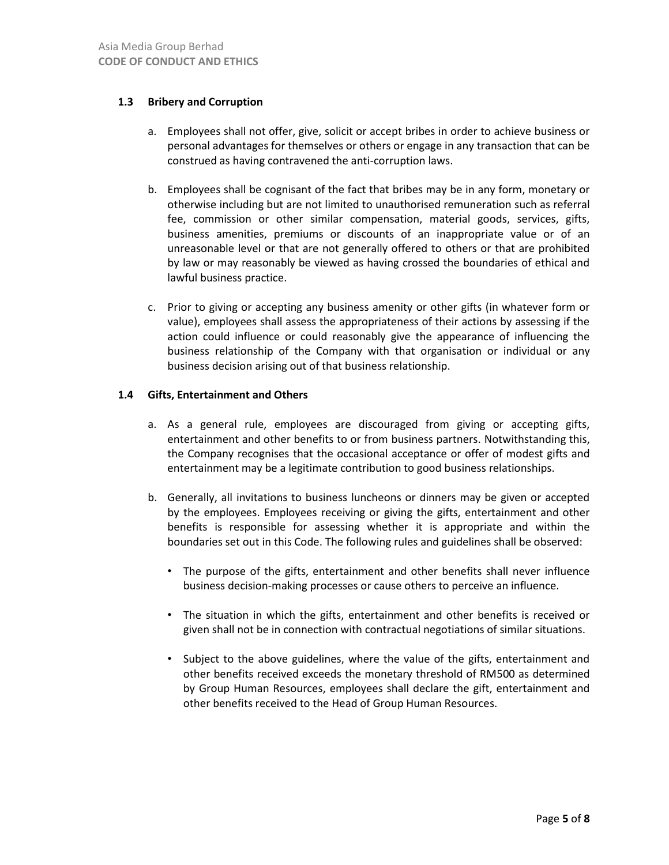# **1.3 Bribery and Corruption**

- a. Employees shall not offer, give, solicit or accept bribes in order to achieve business or personal advantages for themselves or others or engage in any transaction that can be construed as having contravened the anti-corruption laws.
- b. Employees shall be cognisant of the fact that bribes may be in any form, monetary or otherwise including but are not limited to unauthorised remuneration such as referral fee, commission or other similar compensation, material goods, services, gifts, business amenities, premiums or discounts of an inappropriate value or of an unreasonable level or that are not generally offered to others or that are prohibited by law or may reasonably be viewed as having crossed the boundaries of ethical and lawful business practice.
- c. Prior to giving or accepting any business amenity or other gifts (in whatever form or value), employees shall assess the appropriateness of their actions by assessing if the action could influence or could reasonably give the appearance of influencing the business relationship of the Company with that organisation or individual or any business decision arising out of that business relationship.

### **1.4 Gifts, Entertainment and Others**

- a. As a general rule, employees are discouraged from giving or accepting gifts, entertainment and other benefits to or from business partners. Notwithstanding this, the Company recognises that the occasional acceptance or offer of modest gifts and entertainment may be a legitimate contribution to good business relationships.
- b. Generally, all invitations to business luncheons or dinners may be given or accepted by the employees. Employees receiving or giving the gifts, entertainment and other benefits is responsible for assessing whether it is appropriate and within the boundaries set out in this Code. The following rules and guidelines shall be observed:
	- The purpose of the gifts, entertainment and other benefits shall never influence business decision-making processes or cause others to perceive an influence.
	- The situation in which the gifts, entertainment and other benefits is received or given shall not be in connection with contractual negotiations of similar situations.
	- Subject to the above guidelines, where the value of the gifts, entertainment and other benefits received exceeds the monetary threshold of RM500 as determined by Group Human Resources, employees shall declare the gift, entertainment and other benefits received to the Head of Group Human Resources.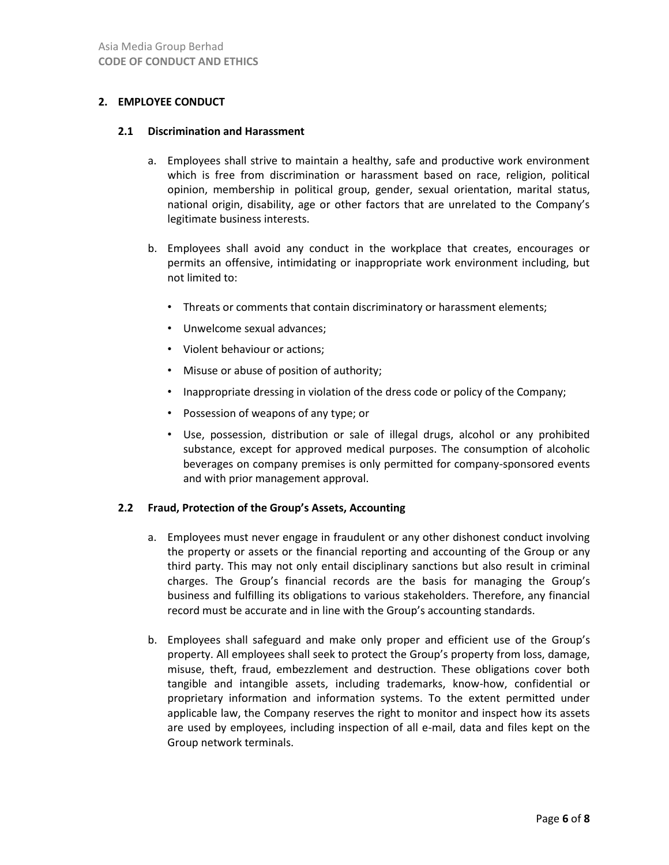### **2. EMPLOYEE CONDUCT**

#### **2.1 Discrimination and Harassment**

- a. Employees shall strive to maintain a healthy, safe and productive work environment which is free from discrimination or harassment based on race, religion, political opinion, membership in political group, gender, sexual orientation, marital status, national origin, disability, age or other factors that are unrelated to the Company's legitimate business interests.
- b. Employees shall avoid any conduct in the workplace that creates, encourages or permits an offensive, intimidating or inappropriate work environment including, but not limited to:
	- Threats or comments that contain discriminatory or harassment elements;
	- Unwelcome sexual advances;
	- Violent behaviour or actions;
	- Misuse or abuse of position of authority;
	- Inappropriate dressing in violation of the dress code or policy of the Company;
	- Possession of weapons of any type; or
	- Use, possession, distribution or sale of illegal drugs, alcohol or any prohibited substance, except for approved medical purposes. The consumption of alcoholic beverages on company premises is only permitted for company-sponsored events and with prior management approval.

#### **2.2 Fraud, Protection of the Group's Assets, Accounting**

- a. Employees must never engage in fraudulent or any other dishonest conduct involving the property or assets or the financial reporting and accounting of the Group or any third party. This may not only entail disciplinary sanctions but also result in criminal charges. The Group's financial records are the basis for managing the Group's business and fulfilling its obligations to various stakeholders. Therefore, any financial record must be accurate and in line with the Group's accounting standards.
- b. Employees shall safeguard and make only proper and efficient use of the Group's property. All employees shall seek to protect the Group's property from loss, damage, misuse, theft, fraud, embezzlement and destruction. These obligations cover both tangible and intangible assets, including trademarks, know-how, confidential or proprietary information and information systems. To the extent permitted under applicable law, the Company reserves the right to monitor and inspect how its assets are used by employees, including inspection of all e-mail, data and files kept on the Group network terminals.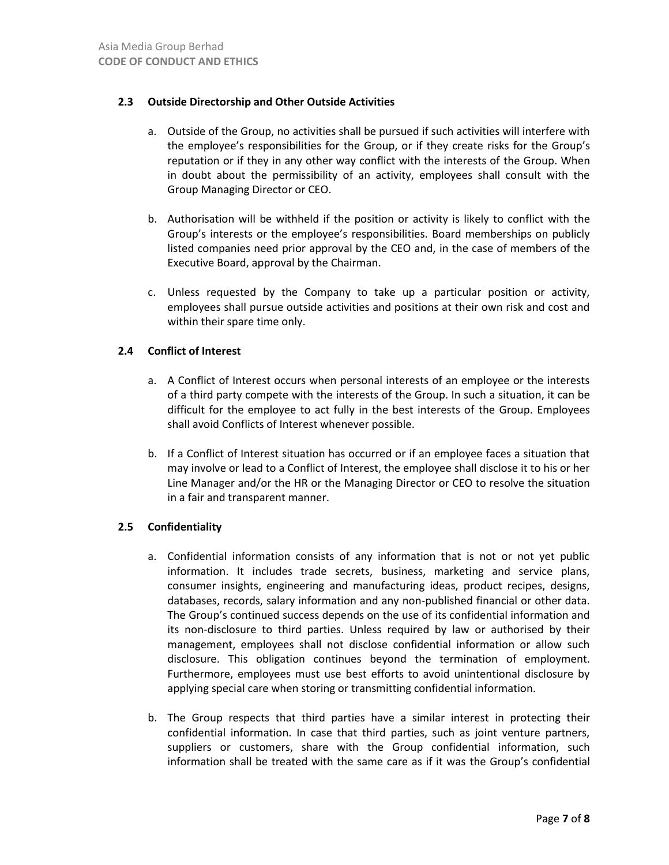# **2.3 Outside Directorship and Other Outside Activities**

- a. Outside of the Group, no activities shall be pursued if such activities will interfere with the employee's responsibilities for the Group, or if they create risks for the Group's reputation or if they in any other way conflict with the interests of the Group. When in doubt about the permissibility of an activity, employees shall consult with the Group Managing Director or CEO.
- b. Authorisation will be withheld if the position or activity is likely to conflict with the Group's interests or the employee's responsibilities. Board memberships on publicly listed companies need prior approval by the CEO and, in the case of members of the Executive Board, approval by the Chairman.
- c. Unless requested by the Company to take up a particular position or activity, employees shall pursue outside activities and positions at their own risk and cost and within their spare time only.

# **2.4 Conflict of Interest**

- a. A Conflict of Interest occurs when personal interests of an employee or the interests of a third party compete with the interests of the Group. In such a situation, it can be difficult for the employee to act fully in the best interests of the Group. Employees shall avoid Conflicts of Interest whenever possible.
- b. If a Conflict of Interest situation has occurred or if an employee faces a situation that may involve or lead to a Conflict of Interest, the employee shall disclose it to his or her Line Manager and/or the HR or the Managing Director or CEO to resolve the situation in a fair and transparent manner.

### **2.5 Confidentiality**

- a. Confidential information consists of any information that is not or not yet public information. It includes trade secrets, business, marketing and service plans, consumer insights, engineering and manufacturing ideas, product recipes, designs, databases, records, salary information and any non-published financial or other data. The Group's continued success depends on the use of its confidential information and its non-disclosure to third parties. Unless required by law or authorised by their management, employees shall not disclose confidential information or allow such disclosure. This obligation continues beyond the termination of employment. Furthermore, employees must use best efforts to avoid unintentional disclosure by applying special care when storing or transmitting confidential information.
- b. The Group respects that third parties have a similar interest in protecting their confidential information. In case that third parties, such as joint venture partners, suppliers or customers, share with the Group confidential information, such information shall be treated with the same care as if it was the Group's confidential